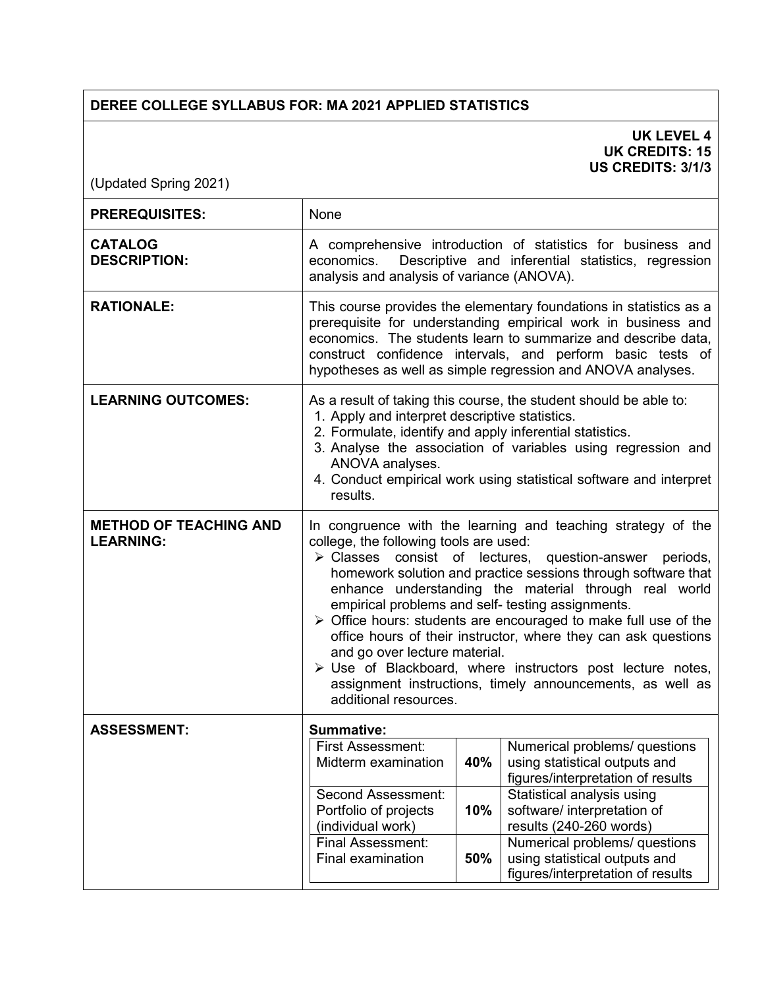## **DEREE COLLEGE SYLLABUS FOR: MA 2021 APPLIED STATISTICS**

## **UK LEVEL 4 UK CREDITS: 15 US CREDITS: 3/1/3**

(Updated Spring 2021)

| <b>PREREQUISITES:</b>                             | None                                                                                                                                                                                                                                                                                                                                                                                                                                                                                                                                                                                                                                                                                                     |     |                                                                                                                                                                                                         |
|---------------------------------------------------|----------------------------------------------------------------------------------------------------------------------------------------------------------------------------------------------------------------------------------------------------------------------------------------------------------------------------------------------------------------------------------------------------------------------------------------------------------------------------------------------------------------------------------------------------------------------------------------------------------------------------------------------------------------------------------------------------------|-----|---------------------------------------------------------------------------------------------------------------------------------------------------------------------------------------------------------|
| <b>CATALOG</b><br><b>DESCRIPTION:</b>             | economics.<br>analysis and analysis of variance (ANOVA).                                                                                                                                                                                                                                                                                                                                                                                                                                                                                                                                                                                                                                                 |     | A comprehensive introduction of statistics for business and<br>Descriptive and inferential statistics, regression                                                                                       |
| <b>RATIONALE:</b>                                 | This course provides the elementary foundations in statistics as a<br>prerequisite for understanding empirical work in business and<br>economics. The students learn to summarize and describe data,<br>construct confidence intervals, and perform basic tests of<br>hypotheses as well as simple regression and ANOVA analyses.                                                                                                                                                                                                                                                                                                                                                                        |     |                                                                                                                                                                                                         |
| <b>LEARNING OUTCOMES:</b>                         | 1. Apply and interpret descriptive statistics.<br>2. Formulate, identify and apply inferential statistics.<br>ANOVA analyses.<br>results.                                                                                                                                                                                                                                                                                                                                                                                                                                                                                                                                                                |     | As a result of taking this course, the student should be able to:<br>3. Analyse the association of variables using regression and<br>4. Conduct empirical work using statistical software and interpret |
| <b>METHOD OF TEACHING AND</b><br><b>LEARNING:</b> | In congruence with the learning and teaching strategy of the<br>college, the following tools are used:<br>> Classes consist of lectures, question-answer periods,<br>homework solution and practice sessions through software that<br>enhance understanding the material through real world<br>empirical problems and self- testing assignments.<br>$\triangleright$ Office hours: students are encouraged to make full use of the<br>office hours of their instructor, where they can ask questions<br>and go over lecture material.<br>$\triangleright$ Use of Blackboard, where instructors post lecture notes,<br>assignment instructions, timely announcements, as well as<br>additional resources. |     |                                                                                                                                                                                                         |
| <b>ASSESSMENT:</b>                                | <b>Summative:</b>                                                                                                                                                                                                                                                                                                                                                                                                                                                                                                                                                                                                                                                                                        |     |                                                                                                                                                                                                         |
|                                                   | <b>First Assessment:</b><br>Midterm examination                                                                                                                                                                                                                                                                                                                                                                                                                                                                                                                                                                                                                                                          | 40% | Numerical problems/ questions<br>using statistical outputs and<br>figures/interpretation of results                                                                                                     |
|                                                   | <b>Second Assessment:</b><br>Portfolio of projects<br>(individual work)                                                                                                                                                                                                                                                                                                                                                                                                                                                                                                                                                                                                                                  | 10% | Statistical analysis using<br>software/ interpretation of<br>results (240-260 words)                                                                                                                    |
|                                                   | Final Assessment:<br>Final examination                                                                                                                                                                                                                                                                                                                                                                                                                                                                                                                                                                                                                                                                   | 50% | Numerical problems/ questions<br>using statistical outputs and<br>figures/interpretation of results                                                                                                     |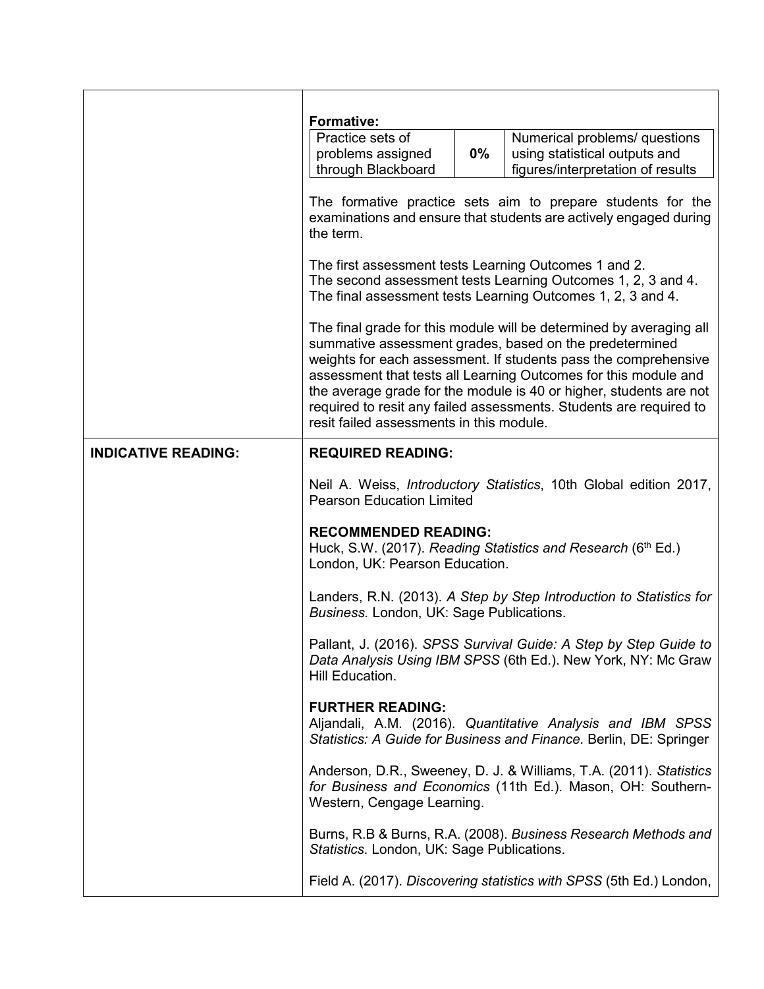|                            | <b>Formative:</b><br>Practice sets of<br>problems assigned<br>through Blackboard                                                              | 0% | Numerical problems/ questions<br>using statistical outputs and<br>figures/interpretation of results                                                                                                                                                                                                                                                                                                              |  |
|----------------------------|-----------------------------------------------------------------------------------------------------------------------------------------------|----|------------------------------------------------------------------------------------------------------------------------------------------------------------------------------------------------------------------------------------------------------------------------------------------------------------------------------------------------------------------------------------------------------------------|--|
|                            | The formative practice sets aim to prepare students for the<br>examinations and ensure that students are actively engaged during<br>the term. |    |                                                                                                                                                                                                                                                                                                                                                                                                                  |  |
|                            | The first assessment tests Learning Outcomes 1 and 2.                                                                                         |    | The second assessment tests Learning Outcomes 1, 2, 3 and 4.<br>The final assessment tests Learning Outcomes 1, 2, 3 and 4.                                                                                                                                                                                                                                                                                      |  |
|                            | resit failed assessments in this module.                                                                                                      |    | The final grade for this module will be determined by averaging all<br>summative assessment grades, based on the predetermined<br>weights for each assessment. If students pass the comprehensive<br>assessment that tests all Learning Outcomes for this module and<br>the average grade for the module is 40 or higher, students are not<br>required to resit any failed assessments. Students are required to |  |
| <b>INDICATIVE READING:</b> | <b>REQUIRED READING:</b>                                                                                                                      |    |                                                                                                                                                                                                                                                                                                                                                                                                                  |  |
|                            | <b>Pearson Education Limited</b>                                                                                                              |    | Neil A. Weiss, <i>Introductory Statistics</i> , 10th Global edition 2017,                                                                                                                                                                                                                                                                                                                                        |  |
|                            | <b>RECOMMENDED READING:</b><br>London, UK: Pearson Education.                                                                                 |    | Huck, S.W. (2017). Reading Statistics and Research (6 <sup>th</sup> Ed.)                                                                                                                                                                                                                                                                                                                                         |  |
|                            | Business. London, UK: Sage Publications.                                                                                                      |    | Landers, R.N. (2013). A Step by Step Introduction to Statistics for                                                                                                                                                                                                                                                                                                                                              |  |
|                            | Hill Education.                                                                                                                               |    | Pallant, J. (2016). SPSS Survival Guide: A Step by Step Guide to<br>Data Analysis Using IBM SPSS (6th Ed.). New York, NY: Mc Graw                                                                                                                                                                                                                                                                                |  |
|                            | <b>FURTHER READING:</b>                                                                                                                       |    | Aljandali, A.M. (2016). Quantitative Analysis and IBM SPSS<br>Statistics: A Guide for Business and Finance. Berlin, DE: Springer                                                                                                                                                                                                                                                                                 |  |
|                            | Western, Cengage Learning.                                                                                                                    |    | Anderson, D.R., Sweeney, D. J. & Williams, T.A. (2011). Statistics<br>for Business and Economics (11th Ed.). Mason, OH: Southern-                                                                                                                                                                                                                                                                                |  |
|                            | Statistics. London, UK: Sage Publications.                                                                                                    |    | Burns, R.B & Burns, R.A. (2008). Business Research Methods and                                                                                                                                                                                                                                                                                                                                                   |  |
|                            |                                                                                                                                               |    | Field A. (2017). Discovering statistics with SPSS (5th Ed.) London,                                                                                                                                                                                                                                                                                                                                              |  |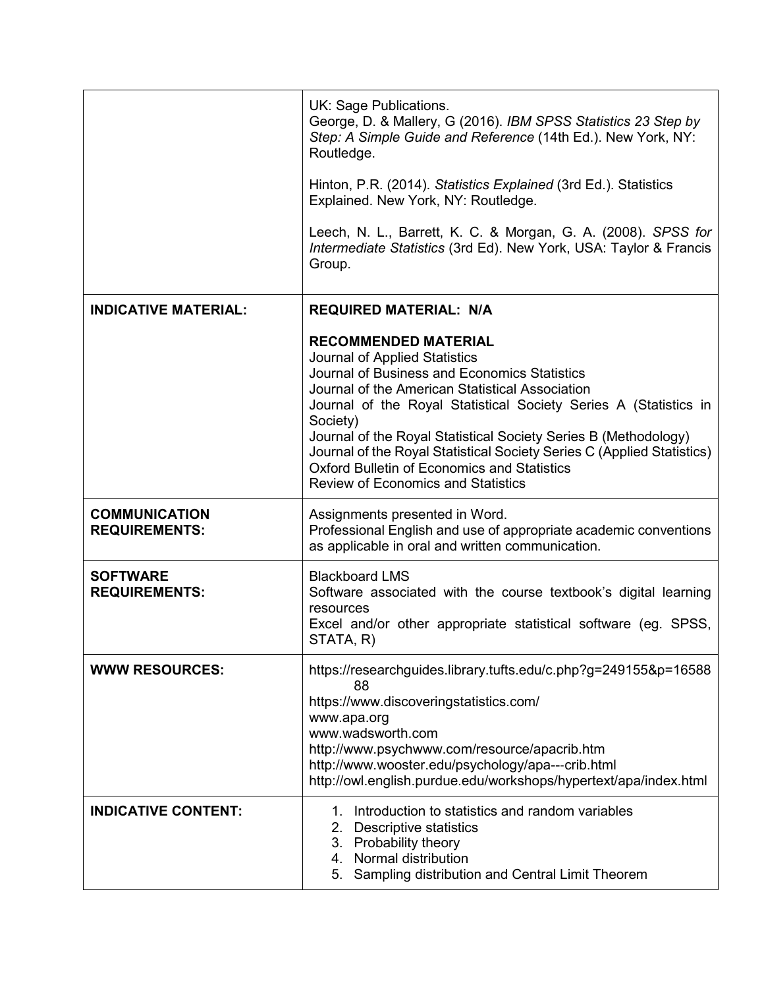|                                              | UK: Sage Publications.<br>George, D. & Mallery, G (2016). IBM SPSS Statistics 23 Step by<br>Step: A Simple Guide and Reference (14th Ed.). New York, NY:<br>Routledge.<br>Hinton, P.R. (2014). Statistics Explained (3rd Ed.). Statistics<br>Explained. New York, NY: Routledge.<br>Leech, N. L., Barrett, K. C. & Morgan, G. A. (2008). SPSS for<br>Intermediate Statistics (3rd Ed). New York, USA: Taylor & Francis<br>Group.                                                                |
|----------------------------------------------|-------------------------------------------------------------------------------------------------------------------------------------------------------------------------------------------------------------------------------------------------------------------------------------------------------------------------------------------------------------------------------------------------------------------------------------------------------------------------------------------------|
| <b>INDICATIVE MATERIAL:</b>                  | <b>REQUIRED MATERIAL: N/A</b>                                                                                                                                                                                                                                                                                                                                                                                                                                                                   |
|                                              | <b>RECOMMENDED MATERIAL</b><br>Journal of Applied Statistics<br>Journal of Business and Economics Statistics<br>Journal of the American Statistical Association<br>Journal of the Royal Statistical Society Series A (Statistics in<br>Society)<br>Journal of the Royal Statistical Society Series B (Methodology)<br>Journal of the Royal Statistical Society Series C (Applied Statistics)<br><b>Oxford Bulletin of Economics and Statistics</b><br><b>Review of Economics and Statistics</b> |
| <b>COMMUNICATION</b><br><b>REQUIREMENTS:</b> | Assignments presented in Word.<br>Professional English and use of appropriate academic conventions<br>as applicable in oral and written communication.                                                                                                                                                                                                                                                                                                                                          |
| <b>SOFTWARE</b><br><b>REQUIREMENTS:</b>      | <b>Blackboard LMS</b><br>Software associated with the course textbook's digital learning<br>resources<br>Excel and/or other appropriate statistical software (eg. SPSS,<br>STATA, R)                                                                                                                                                                                                                                                                                                            |
| <b>WWW RESOURCES:</b>                        | https://researchguides.library.tufts.edu/c.php?g=249155&p=16588<br>88<br>https://www.discoveringstatistics.com/<br>www.apa.org<br>www.wadsworth.com<br>http://www.psychwww.com/resource/apacrib.htm<br>http://www.wooster.edu/psychology/apa---crib.html<br>http://owl.english.purdue.edu/workshops/hypertext/apa/index.html                                                                                                                                                                    |
| <b>INDICATIVE CONTENT:</b>                   | Introduction to statistics and random variables<br>1.<br>Descriptive statistics<br>2.<br>3. Probability theory<br>4. Normal distribution<br>Sampling distribution and Central Limit Theorem<br>5.                                                                                                                                                                                                                                                                                               |